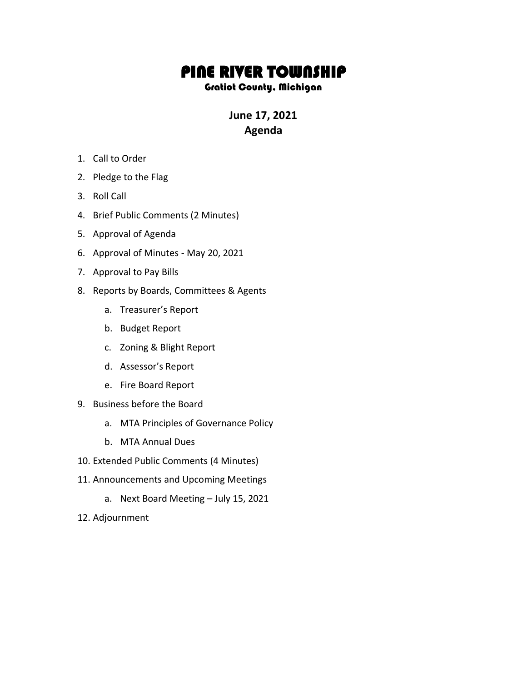## PINE RIVER TOWNSHIP

## Gratiot County, Michigan

## **June 17, 2021 Agenda**

- 1. Call to Order
- 2. Pledge to the Flag
- 3. Roll Call
- 4. Brief Public Comments (2 Minutes)
- 5. Approval of Agenda
- 6. Approval of Minutes May 20, 2021
- 7. Approval to Pay Bills
- 8. Reports by Boards, Committees & Agents
	- a. Treasurer's Report
	- b. Budget Report
	- c. Zoning & Blight Report
	- d. Assessor's Report
	- e. Fire Board Report
- 9. Business before the Board
	- a. MTA Principles of Governance Policy
	- b. MTA Annual Dues
- 10. Extended Public Comments (4 Minutes)
- 11. Announcements and Upcoming Meetings
	- a. Next Board Meeting July 15, 2021
- 12. Adjournment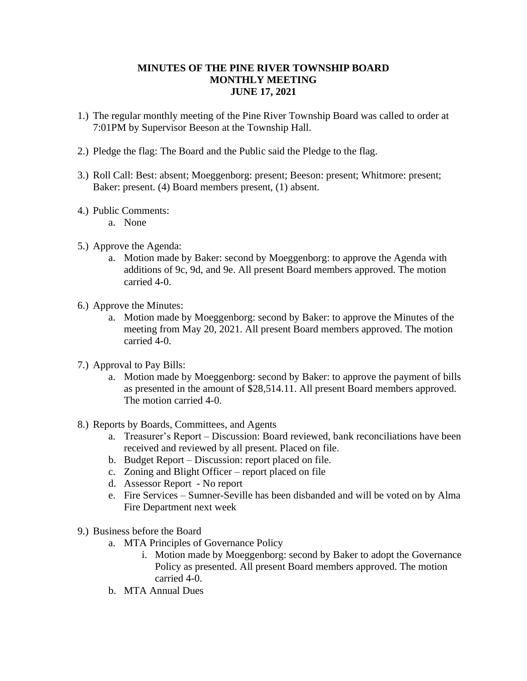## **MINUTES OF THE PINE RIVER TOWNSHIP BOARD MONTHLY MEETING JUNE 17, 2021**

- 1.) The regular monthly meeting of the Pine River Township Board was called to order at 7:01PM by Supervisor Beeson at the Township Hall.
- 2.) Pledge the flag: The Board and the Public said the Pledge to the flag.
- 3.) Roll Call: Best: absent; Moeggenborg: present; Beeson: present; Whitmore: present; Baker: present. (4) Board members present, (1) absent.
- 4.) Public Comments:
	- a. None
- 5.) Approve the Agenda:
	- a. Motion made by Baker: second by Moeggenborg: to approve the Agenda with additions of 9c, 9d, and 9e. All present Board members approved. The motion carried 4-0.
- 6.) Approve the Minutes:
	- a. Motion made by Moeggenborg: second by Baker: to approve the Minutes of the meeting from May 20, 2021. All present Board members approved. The motion carried 4-0.
- 7.) Approval to Pay Bills:
	- a. Motion made by Moeggenborg: second by Baker: to approve the payment of bills as presented in the amount of \$28,514.11. All present Board members approved. The motion carried 4-0.
- 8.) Reports by Boards, Committees, and Agents
	- a. Treasurer's Report Discussion: Board reviewed, bank reconciliations have been received and reviewed by all present. Placed on file.
	- b. Budget Report Discussion: report placed on file.
	- c. Zoning and Blight Officer report placed on file
	- d. Assessor Report No report
	- e. Fire Services Sumner-Seville has been disbanded and will be voted on by Alma Fire Department next week
- 9.) Business before the Board
	- a. MTA Principles of Governance Policy
		- i. Motion made by Moeggenborg: second by Baker to adopt the Governance Policy as presented. All present Board members approved. The motion carried 4-0.
	- b. MTA Annual Dues